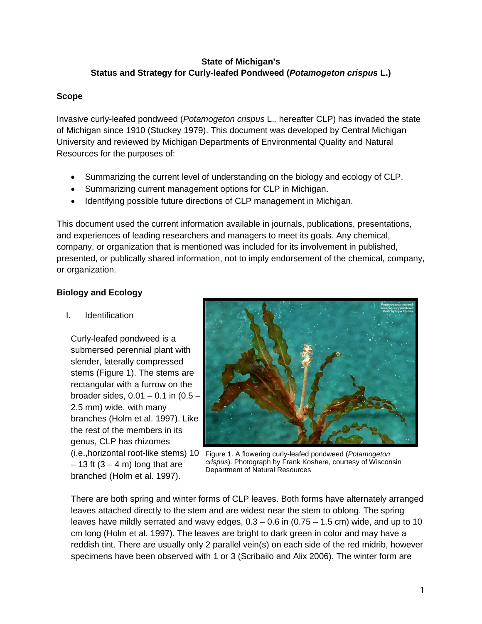# **State of Michigan's Status and Strategy for Curly-leafed Pondweed (***Potamogeton crispus* **L.)**

# **Scope**

Invasive curly-leafed pondweed (*Potamogeton crispus* L.*,* hereafter CLP) has invaded the state of Michigan since 1910 (Stuckey 1979). This document was developed by Central Michigan University and reviewed by Michigan Departments of Environmental Quality and Natural Resources for the purposes of:

- Summarizing the current level of understanding on the biology and ecology of CLP.
- Summarizing current management options for CLP in Michigan.
- Identifying possible future directions of CLP management in Michigan.

This document used the current information available in journals, publications, presentations, and experiences of leading researchers and managers to meet its goals. Any chemical, company, or organization that is mentioned was included for its involvement in published, presented, or publically shared information, not to imply endorsement of the chemical, company, or organization.

# **Biology and Ecology**

### I. Identification

Curly-leafed pondweed is a submersed perennial plant with slender, laterally compressed stems (Figure 1). The stems are rectangular with a furrow on the broader sides, 0.01 – 0.1 in (0.5 – 2.5 mm) wide, with many branches (Holm et al. 1997). Like the rest of the members in its genus, CLP has rhizomes  $-13$  ft  $(3 - 4 \text{ m})$  long that are branched (Holm et al. 1997).



(i.e.,horizontal root-like stems) 10 Figure 1. A flowering curly-leafed pondweed (*Potamogeton crispus*). Photograph by Frank Koshere, courtesy of Wisconsin Department of Natural Resources

There are both spring and winter forms of CLP leaves. Both forms have alternately arranged leaves attached directly to the stem and are widest near the stem to oblong. The spring leaves have mildly serrated and wavy edges,  $0.3 - 0.6$  in  $(0.75 - 1.5$  cm) wide, and up to 10 cm long (Holm et al. 1997). The leaves are bright to dark green in color and may have a reddish tint. There are usually only 2 parallel vein(s) on each side of the red midrib, however specimens have been observed with 1 or 3 (Scribailo and Alix 2006). The winter form are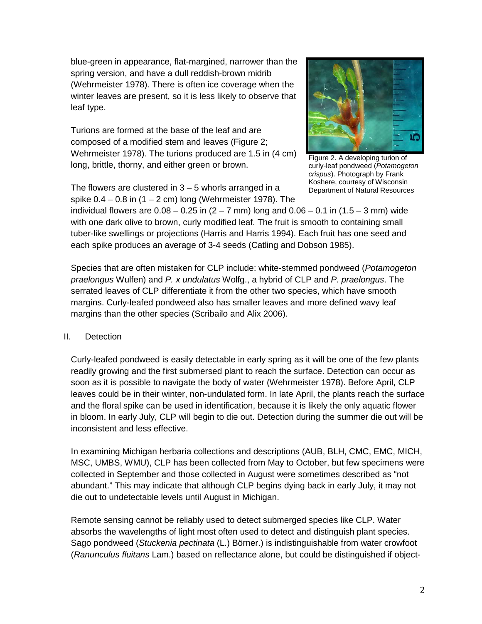blue-green in appearance, flat-margined, narrower than the spring version, and have a dull reddish-brown midrib (Wehrmeister 1978). There is often ice coverage when the winter leaves are present, so it is less likely to observe that leaf type.

Turions are formed at the base of the leaf and are composed of a modified stem and leaves (Figure 2; Wehrmeister 1978). The turions produced are 1.5 in (4 cm) long, brittle, thorny, and either green or brown.



Figure 2. A developing turion of curly-leaf pondweed (*Potamogeton crispus*). Photograph by Frank Koshere, courtesy of Wisconsin Department of Natural Resources

The flowers are clustered in  $3 - 5$  whorls arranged in a spike  $0.4 - 0.8$  in  $(1 - 2$  cm) long (Wehrmeister 1978). The

individual flowers are  $0.08 - 0.25$  in  $(2 - 7$  mm) long and  $0.06 - 0.1$  in  $(1.5 - 3$  mm) wide with one dark olive to brown, curly modified leaf. The fruit is smooth to containing small tuber-like swellings or projections (Harris and Harris 1994). Each fruit has one seed and each spike produces an average of 3-4 seeds (Catling and Dobson 1985).

Species that are often mistaken for CLP include: white-stemmed pondweed (*Potamogeton praelongus* Wulfen) and *P. x undulatus* Wolfg., a hybrid of CLP and *P. praelongus*. The serrated leaves of CLP differentiate it from the other two species, which have smooth margins. Curly-leafed pondweed also has smaller leaves and more defined wavy leaf margins than the other species (Scribailo and Alix 2006).

# II. Detection

Curly-leafed pondweed is easily detectable in early spring as it will be one of the few plants readily growing and the first submersed plant to reach the surface. Detection can occur as soon as it is possible to navigate the body of water (Wehrmeister 1978). Before April, CLP leaves could be in their winter, non-undulated form. In late April, the plants reach the surface and the floral spike can be used in identification, because it is likely the only aquatic flower in bloom. In early July, CLP will begin to die out. Detection during the summer die out will be inconsistent and less effective.

In examining Michigan herbaria collections and descriptions (AUB, BLH, CMC, EMC, MICH, MSC, UMBS, WMU), CLP has been collected from May to October, but few specimens were collected in September and those collected in August were sometimes described as "not abundant." This may indicate that although CLP begins dying back in early July, it may not die out to undetectable levels until August in Michigan.

Remote sensing cannot be reliably used to detect submerged species like CLP. Water absorbs the wavelengths of light most often used to detect and distinguish plant species. Sago pondweed (*Stuckenia pectinata* (L.) Börner.) is indistinguishable from water crowfoot (*Ranunculus fluitans* Lam.) based on reflectance alone, but could be distinguished if object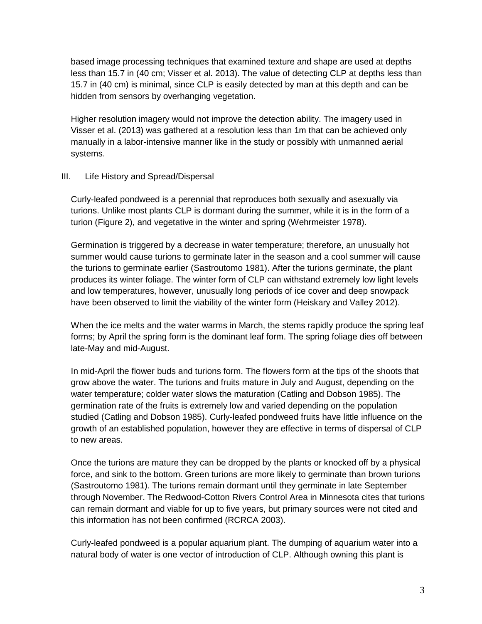based image processing techniques that examined texture and shape are used at depths less than 15.7 in (40 cm; Visser et al. 2013). The value of detecting CLP at depths less than 15.7 in (40 cm) is minimal, since CLP is easily detected by man at this depth and can be hidden from sensors by overhanging vegetation.

Higher resolution imagery would not improve the detection ability. The imagery used in Visser et al. (2013) was gathered at a resolution less than 1m that can be achieved only manually in a labor-intensive manner like in the study or possibly with unmanned aerial systems.

# III. Life History and Spread/Dispersal

Curly-leafed pondweed is a perennial that reproduces both sexually and asexually via turions. Unlike most plants CLP is dormant during the summer, while it is in the form of a turion (Figure 2), and vegetative in the winter and spring (Wehrmeister 1978).

Germination is triggered by a decrease in water temperature; therefore, an unusually hot summer would cause turions to germinate later in the season and a cool summer will cause the turions to germinate earlier (Sastroutomo 1981). After the turions germinate, the plant produces its winter foliage. The winter form of CLP can withstand extremely low light levels and low temperatures, however, unusually long periods of ice cover and deep snowpack have been observed to limit the viability of the winter form (Heiskary and Valley 2012).

When the ice melts and the water warms in March, the stems rapidly produce the spring leaf forms; by April the spring form is the dominant leaf form. The spring foliage dies off between late-May and mid-August.

In mid-April the flower buds and turions form. The flowers form at the tips of the shoots that grow above the water. The turions and fruits mature in July and August, depending on the water temperature; colder water slows the maturation (Catling and Dobson 1985). The germination rate of the fruits is extremely low and varied depending on the population studied (Catling and Dobson 1985). Curly-leafed pondweed fruits have little influence on the growth of an established population, however they are effective in terms of dispersal of CLP to new areas.

Once the turions are mature they can be dropped by the plants or knocked off by a physical force, and sink to the bottom. Green turions are more likely to germinate than brown turions (Sastroutomo 1981). The turions remain dormant until they germinate in late September through November. The Redwood-Cotton Rivers Control Area in Minnesota cites that turions can remain dormant and viable for up to five years, but primary sources were not cited and this information has not been confirmed (RCRCA 2003).

Curly-leafed pondweed is a popular aquarium plant. The dumping of aquarium water into a natural body of water is one vector of introduction of CLP. Although owning this plant is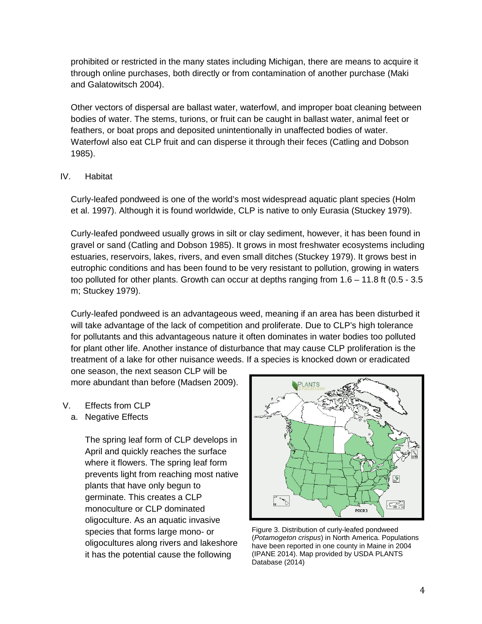prohibited or restricted in the many states including Michigan, there are means to acquire it through online purchases, both directly or from contamination of another purchase (Maki and Galatowitsch 2004).

Other vectors of dispersal are ballast water, waterfowl, and improper boat cleaning between bodies of water. The stems, turions, or fruit can be caught in ballast water, animal feet or feathers, or boat props and deposited unintentionally in unaffected bodies of water. Waterfowl also eat CLP fruit and can disperse it through their feces (Catling and Dobson 1985).

# IV. Habitat

Curly-leafed pondweed is one of the world's most widespread aquatic plant species (Holm et al. 1997). Although it is found worldwide, CLP is native to only Eurasia (Stuckey 1979).

Curly-leafed pondweed usually grows in silt or clay sediment, however, it has been found in gravel or sand (Catling and Dobson 1985). It grows in most freshwater ecosystems including estuaries, reservoirs, lakes, rivers, and even small ditches (Stuckey 1979). It grows best in eutrophic conditions and has been found to be very resistant to pollution, growing in waters too polluted for other plants. Growth can occur at depths ranging from 1.6 – 11.8 ft (0.5 - 3.5 m; Stuckey 1979).

Curly-leafed pondweed is an advantageous weed, meaning if an area has been disturbed it will take advantage of the lack of competition and proliferate. Due to CLP's high tolerance for pollutants and this advantageous nature it often dominates in water bodies too polluted for plant other life. Another instance of disturbance that may cause CLP proliferation is the treatment of a lake for other nuisance weeds. If a species is knocked down or eradicated

one season, the next season CLP will be more abundant than before (Madsen 2009).

- V. Effects from CLP
	- a. Negative Effects

The spring leaf form of CLP develops in April and quickly reaches the surface where it flowers. The spring leaf form prevents light from reaching most native plants that have only begun to germinate. This creates a CLP monoculture or CLP dominated oligoculture. As an aquatic invasive species that forms large mono- or oligocultures along rivers and lakeshore it has the potential cause the following



Figure 3. Distribution of curly-leafed pondweed (*Potamogeton crispus*) in North America. Populations have been reported in one county in Maine in 2004 (IPANE 2014). Map provided by USDA PLANTS Database (2014)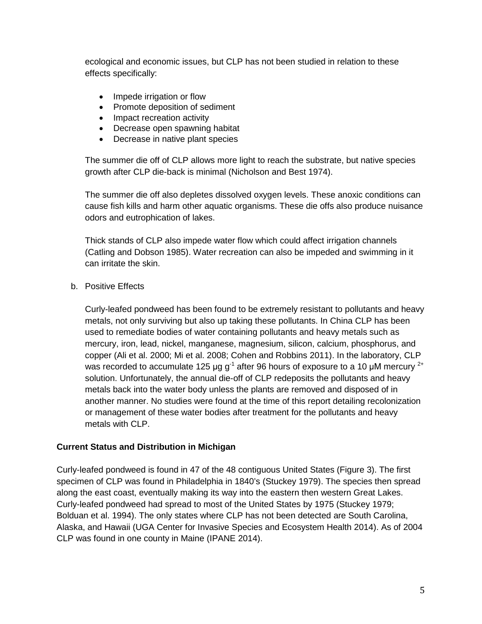ecological and economic issues, but CLP has not been studied in relation to these effects specifically:

- Impede irrigation or flow
- Promote deposition of sediment
- Impact recreation activity
- Decrease open spawning habitat
- Decrease in native plant species

The summer die off of CLP allows more light to reach the substrate, but native species growth after CLP die-back is minimal (Nicholson and Best 1974).

The summer die off also depletes dissolved oxygen levels. These anoxic conditions can cause fish kills and harm other aquatic organisms. These die offs also produce nuisance odors and eutrophication of lakes.

Thick stands of CLP also impede water flow which could affect irrigation channels (Catling and Dobson 1985). Water recreation can also be impeded and swimming in it can irritate the skin.

b. Positive Effects

Curly-leafed pondweed has been found to be extremely resistant to pollutants and heavy metals, not only surviving but also up taking these pollutants. In China CLP has been used to remediate bodies of water containing pollutants and heavy metals such as mercury, iron, lead, nickel, manganese, magnesium, silicon, calcium, phosphorus, and copper (Ali et al. 2000; Mi et al. 2008; Cohen and Robbins 2011). In the laboratory, CLP was recorded to accumulate 125 µg  $g^{-1}$  after 96 hours of exposure to a 10 µM mercury  $^{2+}$ solution. Unfortunately, the annual die-off of CLP redeposits the pollutants and heavy metals back into the water body unless the plants are removed and disposed of in another manner. No studies were found at the time of this report detailing recolonization or management of these water bodies after treatment for the pollutants and heavy metals with CLP.

#### **Current Status and Distribution in Michigan**

Curly-leafed pondweed is found in 47 of the 48 contiguous United States (Figure 3). The first specimen of CLP was found in Philadelphia in 1840's (Stuckey 1979). The species then spread along the east coast, eventually making its way into the eastern then western Great Lakes. Curly-leafed pondweed had spread to most of the United States by 1975 (Stuckey 1979; Bolduan et al. 1994). The only states where CLP has not been detected are South Carolina, Alaska, and Hawaii (UGA Center for Invasive Species and Ecosystem Health 2014). As of 2004 CLP was found in one county in Maine (IPANE 2014).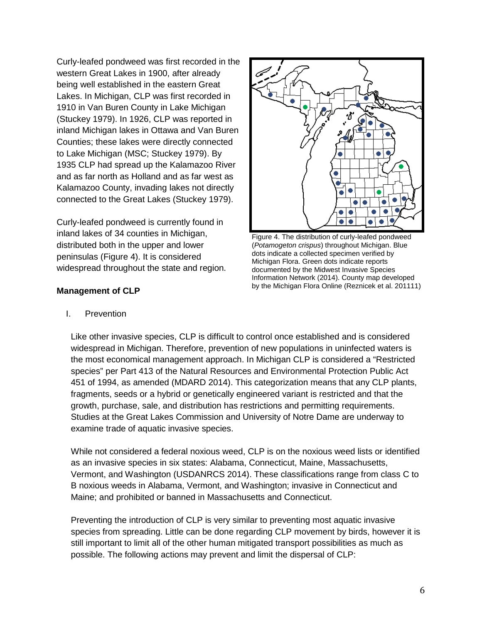Curly-leafed pondweed was first recorded in the western Great Lakes in 1900, after already being well established in the eastern Great Lakes. In Michigan, CLP was first recorded in 1910 in Van Buren County in Lake Michigan (Stuckey 1979). In 1926, CLP was reported in inland Michigan lakes in Ottawa and Van Buren Counties; these lakes were directly connected to Lake Michigan (MSC; Stuckey 1979). By 1935 CLP had spread up the Kalamazoo River and as far north as Holland and as far west as Kalamazoo County, invading lakes not directly connected to the Great Lakes (Stuckey 1979).

Curly-leafed pondweed is currently found in inland lakes of 34 counties in Michigan, distributed both in the upper and lower peninsulas (Figure 4). It is considered widespread throughout the state and region.



Figure 4. The distribution of curly-leafed pondweed (*Potamogeton crispus*) throughout Michigan. Blue dots indicate a collected specimen verified by Michigan Flora. Green dots indicate reports documented by the Midwest Invasive Species Information Network (2014). County map developed by the Michigan Flora Online (Reznicek et al. 201111)

# **Management of CLP**

I. Prevention

Like other invasive species, CLP is difficult to control once established and is considered widespread in Michigan. Therefore, prevention of new populations in uninfected waters is the most economical management approach. In Michigan CLP is considered a "Restricted species" per Part 413 of the Natural Resources and Environmental Protection Public Act 451 of 1994, as amended (MDARD 2014). This categorization means that any CLP plants, fragments, seeds or a hybrid or genetically engineered variant is restricted and that the growth, purchase, sale, and distribution has restrictions and permitting requirements. Studies at the Great Lakes Commission and University of Notre Dame are underway to examine trade of aquatic invasive species.

While not considered a federal noxious weed, CLP is on the noxious weed lists or identified as an invasive species in six states: Alabama, Connecticut, Maine, Massachusetts, Vermont, and Washington (USDANRCS 2014). These classifications range from class C to B noxious weeds in Alabama, Vermont, and Washington; invasive in Connecticut and Maine; and prohibited or banned in Massachusetts and Connecticut.

Preventing the introduction of CLP is very similar to preventing most aquatic invasive species from spreading. Little can be done regarding CLP movement by birds, however it is still important to limit all of the other human mitigated transport possibilities as much as possible. The following actions may prevent and limit the dispersal of CLP: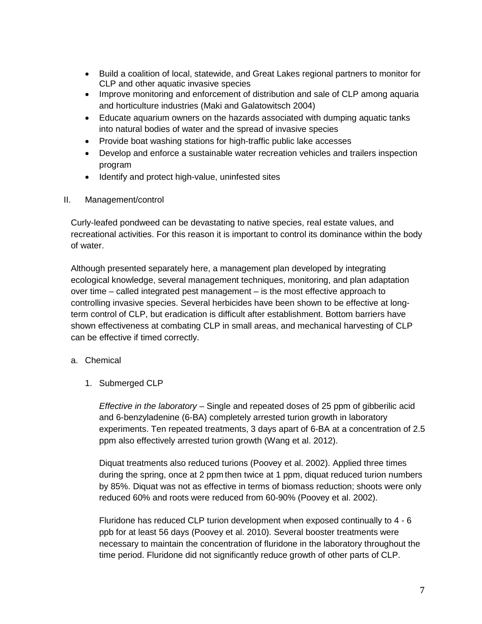- Build a coalition of local, statewide, and Great Lakes regional partners to monitor for CLP and other aquatic invasive species
- Improve monitoring and enforcement of distribution and sale of CLP among aquaria and horticulture industries (Maki and Galatowitsch 2004)
- Educate aquarium owners on the hazards associated with dumping aquatic tanks into natural bodies of water and the spread of invasive species
- Provide boat washing stations for high-traffic public lake accesses
- Develop and enforce a sustainable water recreation vehicles and trailers inspection program
- Identify and protect high-value, uninfested sites
- II. Management/control

Curly-leafed pondweed can be devastating to native species, real estate values, and recreational activities. For this reason it is important to control its dominance within the body of water.

Although presented separately here, a management plan developed by integrating ecological knowledge, several management techniques, monitoring, and plan adaptation over time – called integrated pest management – is the most effective approach to controlling invasive species. Several herbicides have been shown to be effective at longterm control of CLP, but eradication is difficult after establishment. Bottom barriers have shown effectiveness at combating CLP in small areas, and mechanical harvesting of CLP can be effective if timed correctly.

# a. Chemical

1. Submerged CLP

*Effective in the laboratory* – Single and repeated doses of 25 ppm of gibberilic acid and 6-benzyladenine (6-BA) completely arrested turion growth in laboratory experiments. Ten repeated treatments, 3 days apart of 6-BA at a concentration of 2.5 ppm also effectively arrested turion growth (Wang et al. 2012).

Diquat treatments also reduced turions (Poovey et al. 2002). Applied three times during the spring, once at 2 ppm then twice at 1 ppm, diquat reduced turion numbers by 85%. Diquat was not as effective in terms of biomass reduction; shoots were only reduced 60% and roots were reduced from 60-90% (Poovey et al. 2002).

Fluridone has reduced CLP turion development when exposed continually to 4 - 6 ppb for at least 56 days (Poovey et al. 2010). Several booster treatments were necessary to maintain the concentration of fluridone in the laboratory throughout the time period. Fluridone did not significantly reduce growth of other parts of CLP.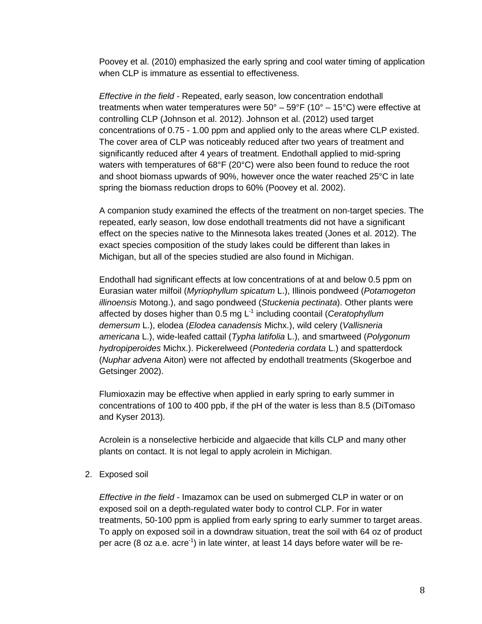Poovey et al. (2010) emphasized the early spring and cool water timing of application when CLP is immature as essential to effectiveness.

*Effective in the field -* Repeated, early season, low concentration endothall treatments when water temperatures were  $50^{\circ}$  –  $59^{\circ}$ F (10° – 15°C) were effective at controlling CLP (Johnson et al. 2012). Johnson et al. (2012) used target concentrations of 0.75 - 1.00 ppm and applied only to the areas where CLP existed. The cover area of CLP was noticeably reduced after two years of treatment and significantly reduced after 4 years of treatment. Endothall applied to mid-spring waters with temperatures of 68°F (20°C) were also been found to reduce the root and shoot biomass upwards of 90%, however once the water reached 25°C in late spring the biomass reduction drops to 60% (Poovey et al. 2002).

A companion study examined the effects of the treatment on non-target species. The repeated, early season, low dose endothall treatments did not have a significant effect on the species native to the Minnesota lakes treated (Jones et al. 2012). The exact species composition of the study lakes could be different than lakes in Michigan, but all of the species studied are also found in Michigan.

Endothall had significant effects at low concentrations of at and below 0.5 ppm on Eurasian water milfoil (*Myriophyllum spicatum* L.), Illinois pondweed (*Potamogeton illinoensis* Motong.), and sago pondweed (*Stuckenia pectinata*). Other plants were affected by doses higher than 0.5 mg L-1 including coontail (*Ceratophyllum demersum* L.), elodea (*Elodea canadensis* Michx.), wild celery (*Vallisneria americana* L.), wide-leafed cattail (*Typha latifolia* L.), and smartweed (*Polygonum hydropiperoides* Michx.). Pickerelweed (*Pontederia cordata* L.) and spatterdock (*Nuphar advena* Aiton) were not affected by endothall treatments (Skogerboe and Getsinger 2002).

Flumioxazin may be effective when applied in early spring to early summer in concentrations of 100 to 400 ppb, if the pH of the water is less than 8.5 (DiTomaso and Kyser 2013).

Acrolein is a nonselective herbicide and algaecide that kills CLP and many other plants on contact. It is not legal to apply acrolein in Michigan.

2. Exposed soil

*Effective in the field* - Imazamox can be used on submerged CLP in water or on exposed soil on a depth-regulated water body to control CLP. For in water treatments, 50-100 ppm is applied from early spring to early summer to target areas. To apply on exposed soil in a downdraw situation, treat the soil with 64 oz of product per acre (8 oz a.e. acre<sup>-1</sup>) in late winter, at least 14 days before water will be re-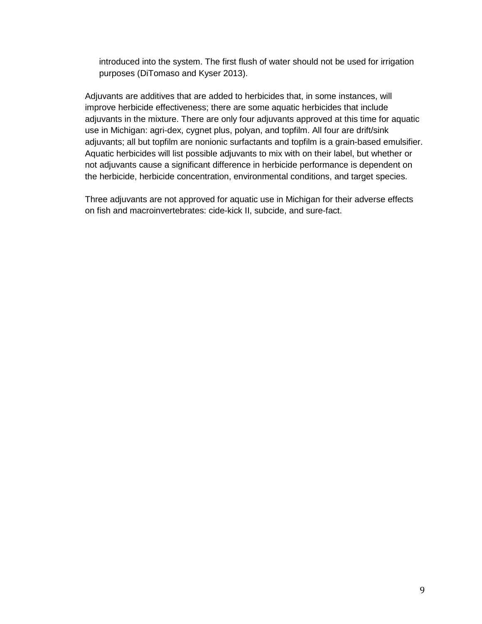introduced into the system. The first flush of water should not be used for irrigation purposes (DiTomaso and Kyser 2013).

Adjuvants are additives that are added to herbicides that, in some instances, will improve herbicide effectiveness; there are some aquatic herbicides that include adjuvants in the mixture. There are only four adjuvants approved at this time for aquatic use in Michigan: agri-dex, cygnet plus, polyan, and topfilm. All four are drift/sink adjuvants; all but topfilm are nonionic surfactants and topfilm is a grain-based emulsifier. Aquatic herbicides will list possible adjuvants to mix with on their label, but whether or not adjuvants cause a significant difference in herbicide performance is dependent on the herbicide, herbicide concentration, environmental conditions, and target species.

Three adjuvants are not approved for aquatic use in Michigan for their adverse effects on fish and macroinvertebrates: cide-kick II, subcide, and sure-fact.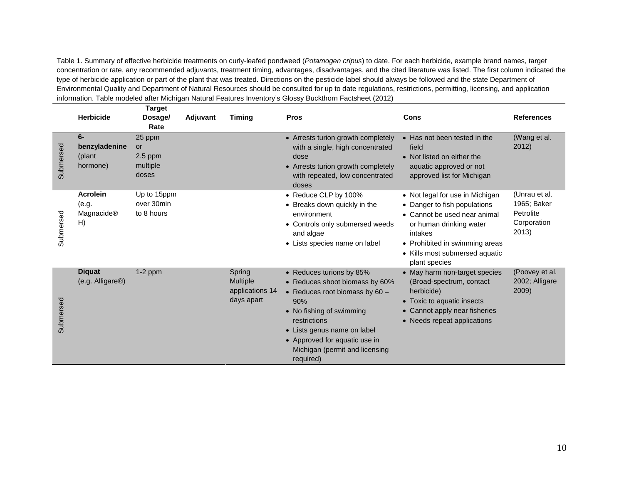Table 1. Summary of effective herbicide treatments on curly-leafed pondweed (*Potamogen cripus*) to date. For each herbicide, example brand names, target concentration or rate, any recommended adjuvants, treatment timing, advantages, disadvantages, and the cited literature was listed. The first column indicated the type of herbicide application or part of the plant that was treated. Directions on the pesticide label should always be followed and the state Department of Environmental Quality and Department of Natural Resources should be consulted for up to date regulations, restrictions, permitting, licensing, and application information. Table modeled after Michigan Natural Features Inventory's Glossy Buckthorn Factsheet (2012)

|           | <b>Herbicide</b>                             | <b>Target</b><br>Dosage/<br>Rate               | Adjuvant | <b>Timing</b>                                              | <b>Pros</b>                                                                                                                                                                                                                                                      | Cons                                                                                                                                                                                                                       | <b>References</b>                                                 |
|-----------|----------------------------------------------|------------------------------------------------|----------|------------------------------------------------------------|------------------------------------------------------------------------------------------------------------------------------------------------------------------------------------------------------------------------------------------------------------------|----------------------------------------------------------------------------------------------------------------------------------------------------------------------------------------------------------------------------|-------------------------------------------------------------------|
| Submersed | $6-$<br>benzyladenine<br>(plant<br>hormone)  | 25 ppm<br>or<br>$2.5$ ppm<br>multiple<br>doses |          |                                                            | • Arrests turion growth completely<br>with a single, high concentrated<br>dose<br>• Arrests turion growth completely<br>with repeated, low concentrated<br>doses                                                                                                 | • Has not been tested in the<br>field<br>• Not listed on either the<br>aquatic approved or not<br>approved list for Michigan                                                                                               | (Wang et al.<br>2012)                                             |
| Submersed | <b>Acrolein</b><br>(e.g.<br>Magnacide®<br>H) | Up to 15ppm<br>over 30min<br>to 8 hours        |          |                                                            | • Reduce CLP by 100%<br>• Breaks down quickly in the<br>environment<br>• Controls only submersed weeds<br>and algae<br>• Lists species name on label                                                                                                             | • Not legal for use in Michigan<br>• Danger to fish populations<br>• Cannot be used near animal<br>or human drinking water<br>intakes<br>• Prohibited in swimming areas<br>• Kills most submersed aquatic<br>plant species | (Unrau et al.<br>1965; Baker<br>Petrolite<br>Corporation<br>2013) |
| Submersed | <b>Diquat</b><br>(e.g. Alligare®)            | $1-2$ ppm                                      |          | Spring<br><b>Multiple</b><br>applications 14<br>days apart | • Reduces turions by 85%<br>• Reduces shoot biomass by 60%<br>• Reduces root biomass by $60 -$<br>90%<br>• No fishing of swimming<br>restrictions<br>• Lists genus name on label<br>• Approved for aquatic use in<br>Michigan (permit and licensing<br>required) | • May harm non-target species<br>(Broad-spectrum, contact<br>herbicide)<br>Toxic to aquatic insects<br>• Cannot apply near fisheries<br>• Needs repeat applications                                                        | (Poovey et al.<br>2002; Alligare<br>2009)                         |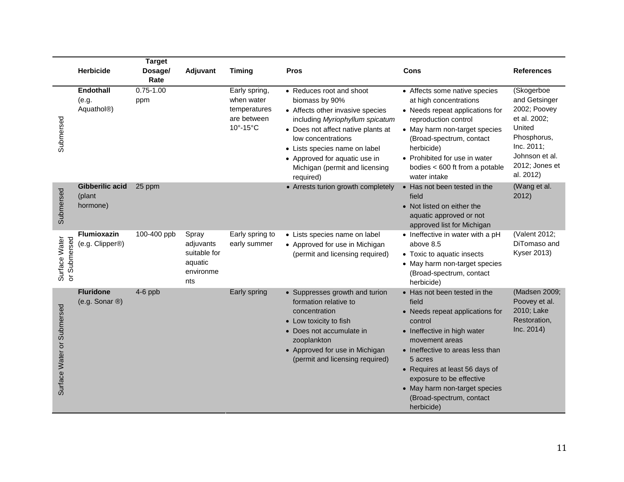|                               |                                               | <b>Target</b>        |                                                                   |                                                                        |                                                                                                                                                                                                                                                                                                |                                                                                                                                                                                                                                                                                                                              |                                                                                                                                                     |
|-------------------------------|-----------------------------------------------|----------------------|-------------------------------------------------------------------|------------------------------------------------------------------------|------------------------------------------------------------------------------------------------------------------------------------------------------------------------------------------------------------------------------------------------------------------------------------------------|------------------------------------------------------------------------------------------------------------------------------------------------------------------------------------------------------------------------------------------------------------------------------------------------------------------------------|-----------------------------------------------------------------------------------------------------------------------------------------------------|
|                               | Herbicide                                     | Dosage/<br>Rate      | Adjuvant                                                          | <b>Timing</b>                                                          | <b>Pros</b>                                                                                                                                                                                                                                                                                    | <b>Cons</b>                                                                                                                                                                                                                                                                                                                  | References                                                                                                                                          |
| Submersed                     | Endothall<br>(e.g.<br>Aquathol <sup>®</sup> ) | $0.75 - 1.00$<br>ppm |                                                                   | Early spring,<br>when water<br>temperatures<br>are between<br>10°-15°C | • Reduces root and shoot<br>biomass by 90%<br>• Affects other invasive species<br>including Myriophyllum spicatum<br>• Does not affect native plants at<br>low concentrations<br>• Lists species name on label<br>• Approved for aquatic use in<br>Michigan (permit and licensing<br>required) | • Affects some native species<br>at high concentrations<br>• Needs repeat applications for<br>reproduction control<br>• May harm non-target species<br>(Broad-spectrum, contact<br>herbicide)<br>• Prohibited for use in water<br>bodies < 600 ft from a potable<br>water intake                                             | (Skogerboe<br>and Getsinger<br>2002; Poovey<br>et al. 2002;<br>United<br>Phosphorus,<br>Inc. 2011;<br>Johnson et al.<br>2012; Jones et<br>al. 2012) |
| Submersed                     | Gibberilic acid<br>(plant<br>hormone)         | 25 ppm               |                                                                   |                                                                        | • Arrests turion growth completely                                                                                                                                                                                                                                                             | • Has not been tested in the<br>field<br>• Not listed on either the<br>aquatic approved or not<br>approved list for Michigan                                                                                                                                                                                                 | (Wang et al.<br>2012)                                                                                                                               |
| or Submersed<br>Surface Water | <b>Flumioxazin</b><br>(e.g. Clipper®)         | 100-400 ppb          | Spray<br>adjuvants<br>suitable for<br>aquatic<br>environme<br>nts | Early spring to<br>early summer                                        | • Lists species name on label<br>• Approved for use in Michigan<br>(permit and licensing required)                                                                                                                                                                                             | • Ineffective in water with a pH<br>above 8.5<br>• Toxic to aquatic insects<br>• May harm non-target species<br>(Broad-spectrum, contact<br>herbicide)                                                                                                                                                                       | (Valent 2012;<br>DiTomaso and<br><b>Kyser 2013)</b>                                                                                                 |
| Surface Water or Submersed    | <b>Fluridone</b><br>(e.g. Sonar $\circledR$ ) | $4-6$ ppb            |                                                                   | Early spring                                                           | • Suppresses growth and turion<br>formation relative to<br>concentration<br>• Low toxicity to fish<br>• Does not accumulate in<br>zooplankton<br>• Approved for use in Michigan<br>(permit and licensing required)                                                                             | • Has not been tested in the<br>field<br>• Needs repeat applications for<br>control<br>• Ineffective in high water<br>movement areas<br>• Ineffective to areas less than<br>5 acres<br>• Requires at least 56 days of<br>exposure to be effective<br>• May harm non-target species<br>(Broad-spectrum, contact<br>herbicide) | (Madsen 2009;<br>Poovey et al.<br>2010; Lake<br>Restoration,<br>Inc. 2014)                                                                          |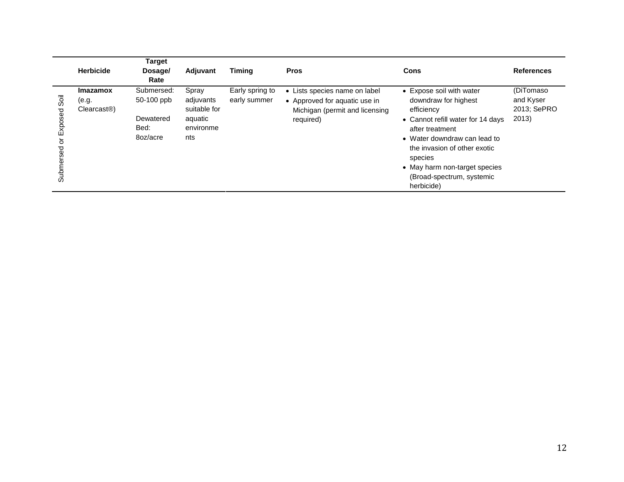| <b>Herbicide</b>                                                                     | Target<br>Dosage/<br>Rate                                 | Adjuvant                                                          | <b>Timing</b>                   | <b>Pros</b>                                                                                                   | Cons                                                                                                                                                                                                                                                                          | <b>References</b>                              |
|--------------------------------------------------------------------------------------|-----------------------------------------------------------|-------------------------------------------------------------------|---------------------------------|---------------------------------------------------------------------------------------------------------------|-------------------------------------------------------------------------------------------------------------------------------------------------------------------------------------------------------------------------------------------------------------------------------|------------------------------------------------|
| <b>Imazamox</b><br>söi<br>(e.g.<br>Clearcast <sup>®</sup><br>Exposed<br>Submersed or | Submersed:<br>50-100 ppb<br>Dewatered<br>Bed:<br>8oz/acre | Spray<br>adjuvants<br>suitable for<br>aquatic<br>environme<br>nts | Early spring to<br>early summer | • Lists species name on label<br>• Approved for aquatic use in<br>Michigan (permit and licensing<br>required) | • Expose soil with water<br>downdraw for highest<br>efficiency<br>• Cannot refill water for 14 days<br>after treatment<br>• Water downdraw can lead to<br>the invasion of other exotic<br>species<br>• May harm non-target species<br>(Broad-spectrum, systemic<br>herbicide) | (DiTomaso<br>and Kyser<br>2013; SePRO<br>2013) |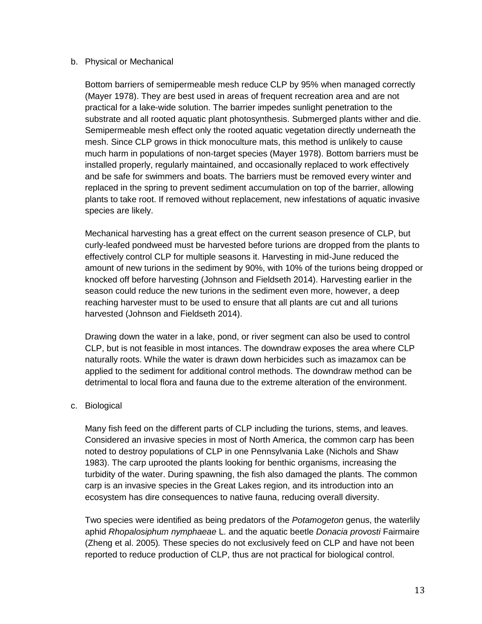#### b. Physical or Mechanical

Bottom barriers of semipermeable mesh reduce CLP by 95% when managed correctly (Mayer 1978). They are best used in areas of frequent recreation area and are not practical for a lake-wide solution. The barrier impedes sunlight penetration to the substrate and all rooted aquatic plant photosynthesis. Submerged plants wither and die. Semipermeable mesh effect only the rooted aquatic vegetation directly underneath the mesh. Since CLP grows in thick monoculture mats, this method is unlikely to cause much harm in populations of non-target species (Mayer 1978). Bottom barriers must be installed properly, regularly maintained, and occasionally replaced to work effectively and be safe for swimmers and boats. The barriers must be removed every winter and replaced in the spring to prevent sediment accumulation on top of the barrier, allowing plants to take root. If removed without replacement, new infestations of aquatic invasive species are likely.

Mechanical harvesting has a great effect on the current season presence of CLP, but curly-leafed pondweed must be harvested before turions are dropped from the plants to effectively control CLP for multiple seasons it. Harvesting in mid-June reduced the amount of new turions in the sediment by 90%, with 10% of the turions being dropped or knocked off before harvesting (Johnson and Fieldseth 2014). Harvesting earlier in the season could reduce the new turions in the sediment even more, however, a deep reaching harvester must to be used to ensure that all plants are cut and all turions harvested (Johnson and Fieldseth 2014).

Drawing down the water in a lake, pond, or river segment can also be used to control CLP, but is not feasible in most intances. The downdraw exposes the area where CLP naturally roots. While the water is drawn down herbicides such as imazamox can be applied to the sediment for additional control methods. The downdraw method can be detrimental to local flora and fauna due to the extreme alteration of the environment.

#### c. Biological

Many fish feed on the different parts of CLP including the turions, stems, and leaves. Considered an invasive species in most of North America, the common carp has been noted to destroy populations of CLP in one Pennsylvania Lake (Nichols and Shaw 1983). The carp uprooted the plants looking for benthic organisms, increasing the turbidity of the water. During spawning, the fish also damaged the plants. The common carp is an invasive species in the Great Lakes region, and its introduction into an ecosystem has dire consequences to native fauna, reducing overall diversity.

Two species were identified as being predators of the *Potamogeton* genus, the waterlily aphid *Rhopalosiphum nymphaeae* L. and the aquatic beetle *Donacia provosti* Fairmaire (Zheng et al. 2005)*.* These species do not exclusively feed on CLP and have not been reported to reduce production of CLP, thus are not practical for biological control.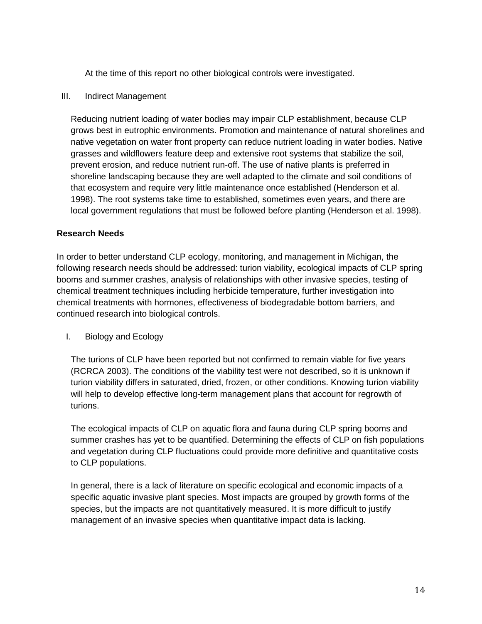At the time of this report no other biological controls were investigated.

### III. Indirect Management

Reducing nutrient loading of water bodies may impair CLP establishment, because CLP grows best in eutrophic environments. Promotion and maintenance of natural shorelines and native vegetation on water front property can reduce nutrient loading in water bodies. Native grasses and wildflowers feature deep and extensive root systems that stabilize the soil, prevent erosion, and reduce nutrient run-off. The use of native plants is preferred in shoreline landscaping because they are well adapted to the climate and soil conditions of that ecosystem and require very little maintenance once established (Henderson et al. 1998). The root systems take time to established, sometimes even years, and there are local government regulations that must be followed before planting (Henderson et al. 1998).

# **Research Needs**

In order to better understand CLP ecology, monitoring, and management in Michigan, the following research needs should be addressed: turion viability, ecological impacts of CLP spring booms and summer crashes, analysis of relationships with other invasive species, testing of chemical treatment techniques including herbicide temperature, further investigation into chemical treatments with hormones, effectiveness of biodegradable bottom barriers, and continued research into biological controls.

# I. Biology and Ecology

The turions of CLP have been reported but not confirmed to remain viable for five years (RCRCA 2003). The conditions of the viability test were not described, so it is unknown if turion viability differs in saturated, dried, frozen, or other conditions. Knowing turion viability will help to develop effective long-term management plans that account for regrowth of turions.

The ecological impacts of CLP on aquatic flora and fauna during CLP spring booms and summer crashes has yet to be quantified. Determining the effects of CLP on fish populations and vegetation during CLP fluctuations could provide more definitive and quantitative costs to CLP populations.

In general, there is a lack of literature on specific ecological and economic impacts of a specific aquatic invasive plant species. Most impacts are grouped by growth forms of the species, but the impacts are not quantitatively measured. It is more difficult to justify management of an invasive species when quantitative impact data is lacking.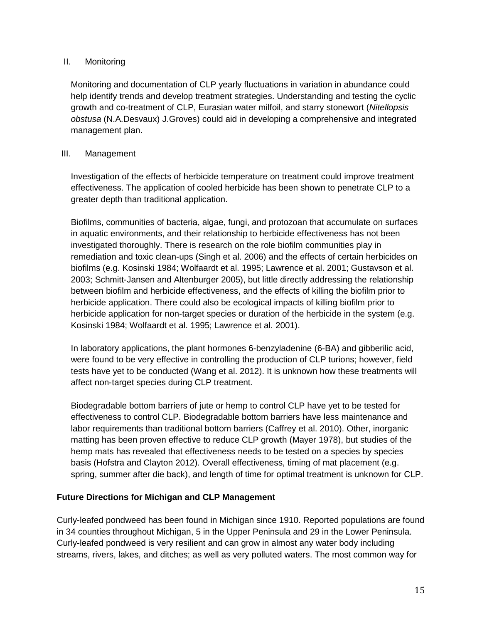# II. Monitoring

Monitoring and documentation of CLP yearly fluctuations in variation in abundance could help identify trends and develop treatment strategies. Understanding and testing the cyclic growth and co-treatment of CLP, Eurasian water milfoil, and starry stonewort (*Nitellopsis obstusa* (N.A.Desvaux) J.Groves) could aid in developing a comprehensive and integrated management plan.

# III. Management

Investigation of the effects of herbicide temperature on treatment could improve treatment effectiveness. The application of cooled herbicide has been shown to penetrate CLP to a greater depth than traditional application.

Biofilms, communities of bacteria, algae, fungi, and protozoan that accumulate on surfaces in aquatic environments, and their relationship to herbicide effectiveness has not been investigated thoroughly. There is research on the role biofilm communities play in remediation and toxic clean-ups (Singh et al. 2006) and the effects of certain herbicides on biofilms (e.g. Kosinski 1984; Wolfaardt et al. 1995; Lawrence et al. 2001; Gustavson et al. 2003; Schmitt-Jansen and Altenburger 2005), but little directly addressing the relationship between biofilm and herbicide effectiveness, and the effects of killing the biofilm prior to herbicide application. There could also be ecological impacts of killing biofilm prior to herbicide application for non-target species or duration of the herbicide in the system (e.g. Kosinski 1984; Wolfaardt et al. 1995; Lawrence et al. 2001).

In laboratory applications, the plant hormones 6-benzyladenine (6-BA) and gibberilic acid, were found to be very effective in controlling the production of CLP turions; however, field tests have yet to be conducted (Wang et al. 2012). It is unknown how these treatments will affect non-target species during CLP treatment.

Biodegradable bottom barriers of jute or hemp to control CLP have yet to be tested for effectiveness to control CLP. Biodegradable bottom barriers have less maintenance and labor requirements than traditional bottom barriers (Caffrey et al. 2010). Other, inorganic matting has been proven effective to reduce CLP growth (Mayer 1978), but studies of the hemp mats has revealed that effectiveness needs to be tested on a species by species basis (Hofstra and Clayton 2012). Overall effectiveness, timing of mat placement (e.g. spring, summer after die back), and length of time for optimal treatment is unknown for CLP.

# **Future Directions for Michigan and CLP Management**

Curly-leafed pondweed has been found in Michigan since 1910. Reported populations are found in 34 counties throughout Michigan, 5 in the Upper Peninsula and 29 in the Lower Peninsula. Curly-leafed pondweed is very resilient and can grow in almost any water body including streams, rivers, lakes, and ditches; as well as very polluted waters. The most common way for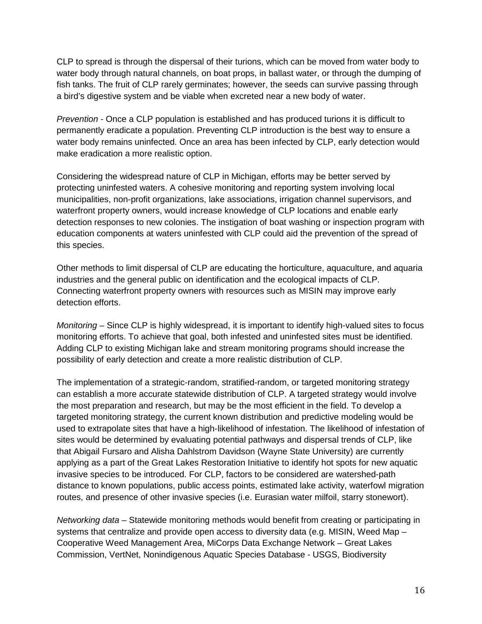CLP to spread is through the dispersal of their turions, which can be moved from water body to water body through natural channels, on boat props, in ballast water, or through the dumping of fish tanks. The fruit of CLP rarely germinates; however, the seeds can survive passing through a bird's digestive system and be viable when excreted near a new body of water.

*Prevention -* Once a CLP population is established and has produced turions it is difficult to permanently eradicate a population. Preventing CLP introduction is the best way to ensure a water body remains uninfected. Once an area has been infected by CLP, early detection would make eradication a more realistic option.

Considering the widespread nature of CLP in Michigan, efforts may be better served by protecting uninfested waters. A cohesive monitoring and reporting system involving local municipalities, non-profit organizations, lake associations, irrigation channel supervisors, and waterfront property owners, would increase knowledge of CLP locations and enable early detection responses to new colonies. The instigation of boat washing or inspection program with education components at waters uninfested with CLP could aid the prevention of the spread of this species.

Other methods to limit dispersal of CLP are educating the horticulture, aquaculture, and aquaria industries and the general public on identification and the ecological impacts of CLP. Connecting waterfront property owners with resources such as MISIN may improve early detection efforts.

*Monitoring –* Since CLP is highly widespread, it is important to identify high-valued sites to focus monitoring efforts. To achieve that goal, both infested and uninfested sites must be identified. Adding CLP to existing Michigan lake and stream monitoring programs should increase the possibility of early detection and create a more realistic distribution of CLP.

The implementation of a strategic-random, stratified-random, or targeted monitoring strategy can establish a more accurate statewide distribution of CLP. A targeted strategy would involve the most preparation and research, but may be the most efficient in the field. To develop a targeted monitoring strategy, the current known distribution and predictive modeling would be used to extrapolate sites that have a high-likelihood of infestation. The likelihood of infestation of sites would be determined by evaluating potential pathways and dispersal trends of CLP, like that Abigail Fursaro and Alisha Dahlstrom Davidson (Wayne State University) are currently applying as a part of the Great Lakes Restoration Initiative to identify hot spots for new aquatic invasive species to be introduced. For CLP, factors to be considered are watershed-path distance to known populations, public access points, estimated lake activity, waterfowl migration routes, and presence of other invasive species (i.e. Eurasian water milfoil, starry stonewort).

*Networking data –* Statewide monitoring methods would benefit from creating or participating in systems that centralize and provide open access to diversity data (e.g. MISIN, Weed Map – Cooperative Weed Management Area, MiCorps Data Exchange Network – Great Lakes Commission, VertNet, Nonindigenous Aquatic Species Database - USGS, Biodiversity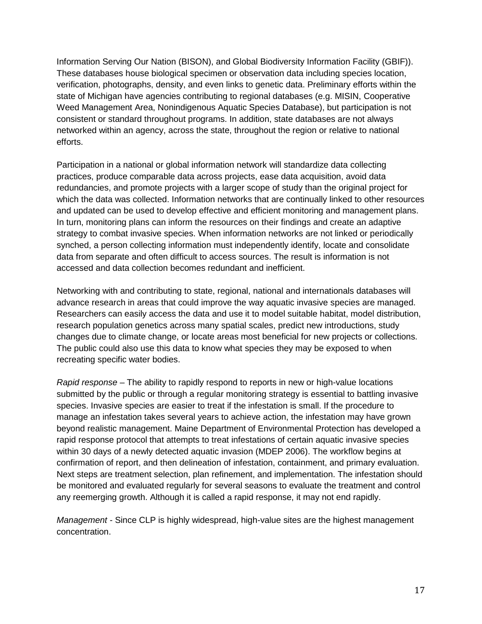Information Serving Our Nation (BISON), and Global Biodiversity Information Facility (GBIF)). These databases house biological specimen or observation data including species location, verification, photographs, density, and even links to genetic data. Preliminary efforts within the state of Michigan have agencies contributing to regional databases (e.g. MISIN, Cooperative Weed Management Area, Nonindigenous Aquatic Species Database), but participation is not consistent or standard throughout programs. In addition, state databases are not always networked within an agency, across the state, throughout the region or relative to national efforts.

Participation in a national or global information network will standardize data collecting practices, produce comparable data across projects, ease data acquisition, avoid data redundancies, and promote projects with a larger scope of study than the original project for which the data was collected. Information networks that are continually linked to other resources and updated can be used to develop effective and efficient monitoring and management plans. In turn, monitoring plans can inform the resources on their findings and create an adaptive strategy to combat invasive species. When information networks are not linked or periodically synched, a person collecting information must independently identify, locate and consolidate data from separate and often difficult to access sources. The result is information is not accessed and data collection becomes redundant and inefficient.

Networking with and contributing to state, regional, national and internationals databases will advance research in areas that could improve the way aquatic invasive species are managed. Researchers can easily access the data and use it to model suitable habitat, model distribution, research population genetics across many spatial scales, predict new introductions, study changes due to climate change, or locate areas most beneficial for new projects or collections. The public could also use this data to know what species they may be exposed to when recreating specific water bodies.

*Rapid response* – The ability to rapidly respond to reports in new or high-value locations submitted by the public or through a regular monitoring strategy is essential to battling invasive species. Invasive species are easier to treat if the infestation is small. If the procedure to manage an infestation takes several years to achieve action, the infestation may have grown beyond realistic management. Maine Department of Environmental Protection has developed a rapid response protocol that attempts to treat infestations of certain aquatic invasive species within 30 days of a newly detected aquatic invasion (MDEP 2006). The workflow begins at confirmation of report, and then delineation of infestation, containment, and primary evaluation. Next steps are treatment selection, plan refinement, and implementation. The infestation should be monitored and evaluated regularly for several seasons to evaluate the treatment and control any reemerging growth. Although it is called a rapid response, it may not end rapidly.

*Management -* Since CLP is highly widespread, high-value sites are the highest management concentration.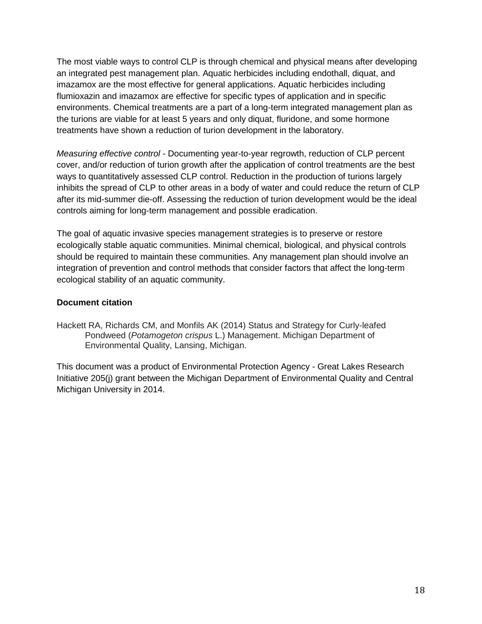The most viable ways to control CLP is through chemical and physical means after developing an integrated pest management plan. Aquatic herbicides including endothall, diquat, and imazamox are the most effective for general applications. Aquatic herbicides including flumioxazin and imazamox are effective for specific types of application and in specific environments. Chemical treatments are a part of a long-term integrated management plan as the turions are viable for at least 5 years and only diquat, fluridone, and some hormone treatments have shown a reduction of turion development in the laboratory.

*Measuring effective control -* Documenting year-to-year regrowth, reduction of CLP percent cover, and/or reduction of turion growth after the application of control treatments are the best ways to quantitatively assessed CLP control. Reduction in the production of turions largely inhibits the spread of CLP to other areas in a body of water and could reduce the return of CLP after its mid-summer die-off. Assessing the reduction of turion development would be the ideal controls aiming for long-term management and possible eradication.

The goal of aquatic invasive species management strategies is to preserve or restore ecologically stable aquatic communities. Minimal chemical, biological, and physical controls should be required to maintain these communities. Any management plan should involve an integration of prevention and control methods that consider factors that affect the long-term ecological stability of an aquatic community.

# **Document citation**

Hackett RA, Richards CM, and Monfils AK (2014) Status and Strategy for Curly-leafed Pondweed (*Potamogeton crispus* L.) Management. Michigan Department of Environmental Quality, Lansing, Michigan.

This document was a product of Environmental Protection Agency - Great Lakes Research Initiative 205(j) grant between the Michigan Department of Environmental Quality and Central Michigan University in 2014.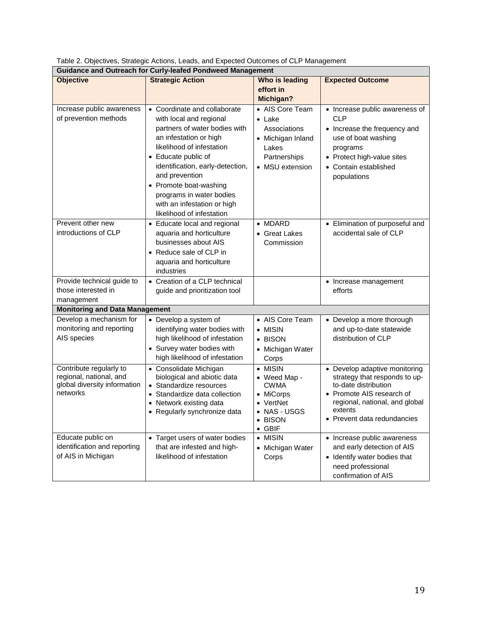| <b>Guidance and Outreach for Curly-leafed Pondweed Management</b>                              |                                                                                                                                                                                                                                                                                    |                                                                                                                    |                                                                                                                                                                                                 |  |  |  |  |
|------------------------------------------------------------------------------------------------|------------------------------------------------------------------------------------------------------------------------------------------------------------------------------------------------------------------------------------------------------------------------------------|--------------------------------------------------------------------------------------------------------------------|-------------------------------------------------------------------------------------------------------------------------------------------------------------------------------------------------|--|--|--|--|
| <b>Objective</b>                                                                               | <b>Strategic Action</b>                                                                                                                                                                                                                                                            | Who is leading                                                                                                     | <b>Expected Outcome</b>                                                                                                                                                                         |  |  |  |  |
|                                                                                                |                                                                                                                                                                                                                                                                                    | effort in                                                                                                          |                                                                                                                                                                                                 |  |  |  |  |
|                                                                                                |                                                                                                                                                                                                                                                                                    | Michigan?                                                                                                          |                                                                                                                                                                                                 |  |  |  |  |
| Increase public awareness<br>of prevention methods                                             | • Coordinate and collaborate<br>with local and regional<br>partners of water bodies with<br>an infestation or high<br>likelihood of infestation<br>• Educate public of<br>identification, early-detection,<br>and prevention<br>• Promote boat-washing<br>programs in water bodies | • AIS Core Team<br>$\bullet$ Lake<br>Associations<br>• Michigan Inland<br>Lakes<br>Partnerships<br>• MSU extension | • Increase public awareness of<br>CLP<br>• Increase the frequency and<br>use of boat washing<br>programs<br>• Protect high-value sites<br>• Contain established<br>populations                  |  |  |  |  |
|                                                                                                | with an infestation or high<br>likelihood of infestation                                                                                                                                                                                                                           |                                                                                                                    |                                                                                                                                                                                                 |  |  |  |  |
| Prevent other new<br>introductions of CLP                                                      | • Educate local and regional<br>aquaria and horticulture<br>businesses about AIS<br>• Reduce sale of CLP in<br>aquaria and horticulture<br>industries                                                                                                                              | $\bullet$ MDARD<br>• Great Lakes<br>Commission                                                                     | • Elimination of purposeful and<br>accidental sale of CLP                                                                                                                                       |  |  |  |  |
| Provide technical guide to                                                                     | • Creation of a CLP technical                                                                                                                                                                                                                                                      |                                                                                                                    | • Increase management                                                                                                                                                                           |  |  |  |  |
| those interested in                                                                            | guide and prioritization tool                                                                                                                                                                                                                                                      |                                                                                                                    | efforts                                                                                                                                                                                         |  |  |  |  |
| management                                                                                     |                                                                                                                                                                                                                                                                                    |                                                                                                                    |                                                                                                                                                                                                 |  |  |  |  |
| <b>Monitoring and Data Management</b>                                                          |                                                                                                                                                                                                                                                                                    |                                                                                                                    |                                                                                                                                                                                                 |  |  |  |  |
| Develop a mechanism for<br>monitoring and reporting<br>AIS species                             | • Develop a system of<br>identifying water bodies with<br>high likelihood of infestation<br>• Survey water bodies with<br>high likelihood of infestation                                                                                                                           | • AIS Core Team<br>$\bullet$ MISIN<br>• BISON<br>• Michigan Water<br>Corps                                         | • Develop a more thorough<br>and up-to-date statewide<br>distribution of CLP                                                                                                                    |  |  |  |  |
| Contribute regularly to<br>regional, national, and<br>global diversity information<br>networks | • Consolidate Michigan<br>biological and abiotic data<br>• Standardize resources<br>• Standardize data collection<br>• Network existing data<br>• Regularly synchronize data                                                                                                       | • MISIN<br>• Weed Map -<br><b>CWMA</b><br>• MiCorps<br>• VertNet<br>• NAS - USGS<br>• BISON<br>$\bullet$ GBIF      | • Develop adaptive monitoring<br>strategy that responds to up-<br>to-date distribution<br>• Promote AIS research of<br>regional, national, and global<br>extents<br>• Prevent data redundancies |  |  |  |  |
| Educate public on<br>identification and reporting<br>of AIS in Michigan                        | • Target users of water bodies<br>that are infested and high-<br>likelihood of infestation                                                                                                                                                                                         | • MISIN<br>• Michigan Water<br>Corps                                                                               | • Increase public awareness<br>and early detection of AIS<br>• Identify water bodies that<br>need professional<br>confirmation of AIS                                                           |  |  |  |  |

|       |   |  |  | Table 2. Objectives, Strategic Actions, Leads, and Expected Outcomes of CLP Management |
|-------|---|--|--|----------------------------------------------------------------------------------------|
| - - - | . |  |  |                                                                                        |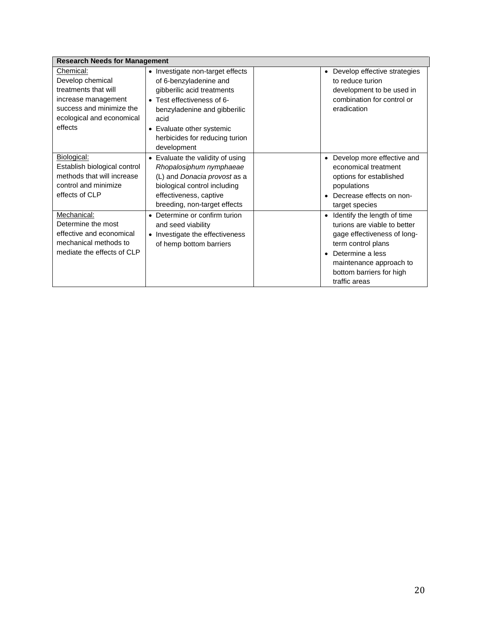| <b>Research Needs for Management</b>                                                                                                             |                                                                                                                                                                                                                                              |                                                                                                                                                                                                                                        |  |  |  |  |  |
|--------------------------------------------------------------------------------------------------------------------------------------------------|----------------------------------------------------------------------------------------------------------------------------------------------------------------------------------------------------------------------------------------------|----------------------------------------------------------------------------------------------------------------------------------------------------------------------------------------------------------------------------------------|--|--|--|--|--|
| Chemical:<br>Develop chemical<br>treatments that will<br>increase management<br>success and minimize the<br>ecological and economical<br>effects | • Investigate non-target effects<br>of 6-benzyladenine and<br>gibberilic acid treatments<br>• Test effectiveness of 6-<br>benzyladenine and gibberilic<br>acid<br>• Evaluate other systemic<br>herbicides for reducing turion<br>development | Develop effective strategies<br>to reduce turion<br>development to be used in<br>combination for control or<br>eradication                                                                                                             |  |  |  |  |  |
| Biological:<br>Establish biological control<br>methods that will increase<br>control and minimize<br>effects of CLP                              | Evaluate the validity of using<br>$\bullet$<br>Rhopalosiphum nymphaeae<br>(L) and Donacia provost as a<br>biological control including<br>effectiveness, captive<br>breeding, non-target effects                                             | Develop more effective and<br>economical treatment<br>options for established<br>populations<br>Decrease effects on non-<br>target species                                                                                             |  |  |  |  |  |
| Mechanical:<br>Determine the most<br>effective and economical<br>mechanical methods to<br>mediate the effects of CLP                             | Determine or confirm turion<br>$\bullet$<br>and seed viability<br>• Investigate the effectiveness<br>of hemp bottom barriers                                                                                                                 | Identify the length of time<br>$\bullet$<br>turions are viable to better<br>gage effectiveness of long-<br>term control plans<br>Determine a less<br>$\bullet$<br>maintenance approach to<br>bottom barriers for high<br>traffic areas |  |  |  |  |  |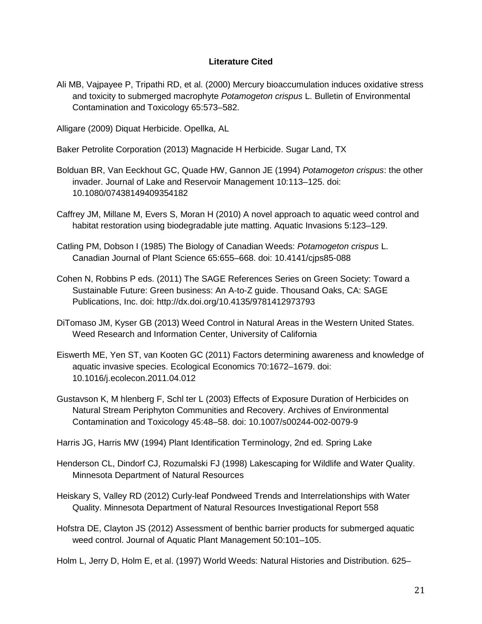# **Literature Cited**

Ali MB, Vajpayee P, Tripathi RD, et al. (2000) Mercury bioaccumulation induces oxidative stress and toxicity to submerged macrophyte *Potamogeton crispus* L. Bulletin of Environmental Contamination and Toxicology 65:573–582.

Alligare (2009) Diquat Herbicide. Opellka, AL

Baker Petrolite Corporation (2013) Magnacide H Herbicide. Sugar Land, TX

- Bolduan BR, Van Eeckhout GC, Quade HW, Gannon JE (1994) *Potamogeton crispus*: the other invader. Journal of Lake and Reservoir Management 10:113–125. doi: 10.1080/07438149409354182
- Caffrey JM, Millane M, Evers S, Moran H (2010) A novel approach to aquatic weed control and habitat restoration using biodegradable jute matting. Aquatic Invasions 5:123–129.
- Catling PM, Dobson I (1985) The Biology of Canadian Weeds: *Potamogeton crispus* L. Canadian Journal of Plant Science 65:655–668. doi: 10.4141/cjps85-088
- Cohen N, Robbins P eds. (2011) The SAGE References Series on Green Society: Toward a Sustainable Future: Green business: An A-to-Z guide. Thousand Oaks, CA: SAGE Publications, Inc. doi: http://dx.doi.org/10.4135/9781412973793
- DiTomaso JM, Kyser GB (2013) Weed Control in Natural Areas in the Western United States. Weed Research and Information Center, University of California
- Eiswerth ME, Yen ST, van Kooten GC (2011) Factors determining awareness and knowledge of aquatic invasive species. Ecological Economics 70:1672–1679. doi: 10.1016/j.ecolecon.2011.04.012
- Gustavson K, M hlenberg F, Schl ter L (2003) Effects of Exposure Duration of Herbicides on Natural Stream Periphyton Communities and Recovery. Archives of Environmental Contamination and Toxicology 45:48–58. doi: 10.1007/s00244-002-0079-9

Harris JG, Harris MW (1994) Plant Identification Terminology, 2nd ed. Spring Lake

- Henderson CL, Dindorf CJ, Rozumalski FJ (1998) Lakescaping for Wildlife and Water Quality. Minnesota Department of Natural Resources
- Heiskary S, Valley RD (2012) Curly-leaf Pondweed Trends and Interrelationships with Water Quality. Minnesota Department of Natural Resources Investigational Report 558
- Hofstra DE, Clayton JS (2012) Assessment of benthic barrier products for submerged aquatic weed control. Journal of Aquatic Plant Management 50:101–105.
- Holm L, Jerry D, Holm E, et al. (1997) World Weeds: Natural Histories and Distribution. 625–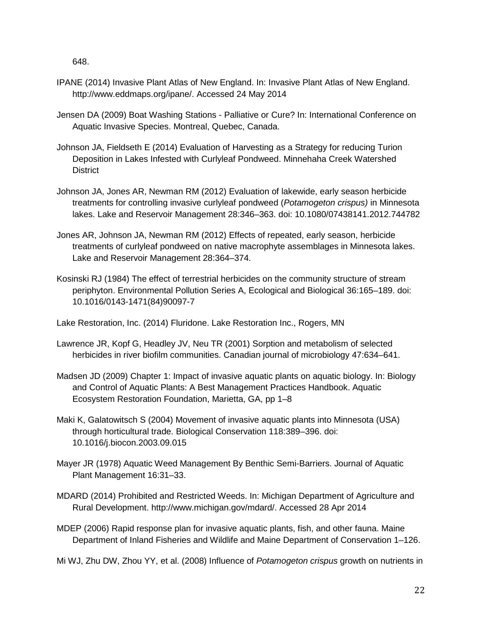648.

- IPANE (2014) Invasive Plant Atlas of New England. In: Invasive Plant Atlas of New England. http://www.eddmaps.org/ipane/. Accessed 24 May 2014
- Jensen DA (2009) Boat Washing Stations Palliative or Cure? In: International Conference on Aquatic Invasive Species. Montreal, Quebec, Canada.
- Johnson JA, Fieldseth E (2014) Evaluation of Harvesting as a Strategy for reducing Turion Deposition in Lakes Infested with Curlyleaf Pondweed. Minnehaha Creek Watershed **District**
- Johnson JA, Jones AR, Newman RM (2012) Evaluation of lakewide, early season herbicide treatments for controlling invasive curlyleaf pondweed (*Potamogeton crispus)* in Minnesota lakes. Lake and Reservoir Management 28:346–363. doi: 10.1080/07438141.2012.744782
- Jones AR, Johnson JA, Newman RM (2012) Effects of repeated, early season, herbicide treatments of curlyleaf pondweed on native macrophyte assemblages in Minnesota lakes. Lake and Reservoir Management 28:364–374.
- Kosinski RJ (1984) The effect of terrestrial herbicides on the community structure of stream periphyton. Environmental Pollution Series A, Ecological and Biological 36:165–189. doi: 10.1016/0143-1471(84)90097-7

Lake Restoration, Inc. (2014) Fluridone. Lake Restoration Inc., Rogers, MN

- Lawrence JR, Kopf G, Headley JV, Neu TR (2001) Sorption and metabolism of selected herbicides in river biofilm communities. Canadian journal of microbiology 47:634–641.
- Madsen JD (2009) Chapter 1: Impact of invasive aquatic plants on aquatic biology. In: Biology and Control of Aquatic Plants: A Best Management Practices Handbook. Aquatic Ecosystem Restoration Foundation, Marietta, GA, pp 1–8
- Maki K, Galatowitsch S (2004) Movement of invasive aquatic plants into Minnesota (USA) through horticultural trade. Biological Conservation 118:389–396. doi: 10.1016/j.biocon.2003.09.015
- Mayer JR (1978) Aquatic Weed Management By Benthic Semi-Barriers. Journal of Aquatic Plant Management 16:31–33.
- MDARD (2014) Prohibited and Restricted Weeds. In: Michigan Department of Agriculture and Rural Development. http://www.michigan.gov/mdard/. Accessed 28 Apr 2014
- MDEP (2006) Rapid response plan for invasive aquatic plants, fish, and other fauna. Maine Department of Inland Fisheries and Wildlife and Maine Department of Conservation 1–126.
- Mi WJ, Zhu DW, Zhou YY, et al. (2008) Influence of *Potamogeton crispus* growth on nutrients in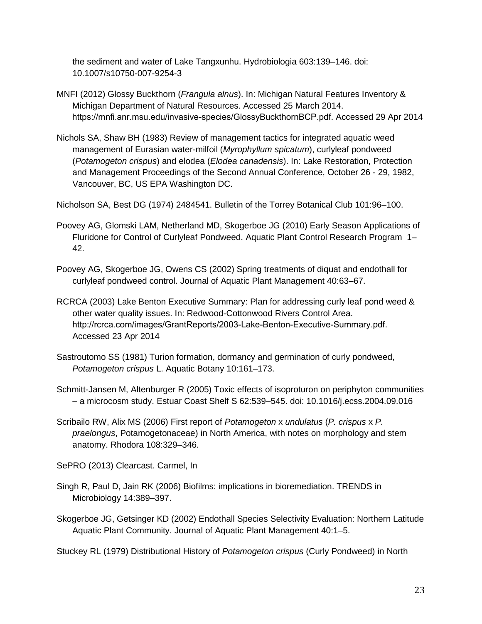the sediment and water of Lake Tangxunhu. Hydrobiologia 603:139–146. doi: 10.1007/s10750-007-9254-3

- MNFI (2012) Glossy Buckthorn (*Frangula alnus*). In: Michigan Natural Features Inventory & Michigan Department of Natural Resources. Accessed 25 March 2014. https://mnfi.anr.msu.edu/invasive-species/GlossyBuckthornBCP.pdf. Accessed 29 Apr 2014
- Nichols SA, Shaw BH (1983) Review of management tactics for integrated aquatic weed management of Eurasian water-milfoil (*Myrophyllum spicatum*), curlyleaf pondweed (*Potamogeton crispus*) and elodea (*Elodea canadensis*). In: Lake Restoration, Protection and Management Proceedings of the Second Annual Conference, October 26 - 29, 1982, Vancouver, BC, US EPA Washington DC.

Nicholson SA, Best DG (1974) 2484541. Bulletin of the Torrey Botanical Club 101:96–100.

- Poovey AG, Glomski LAM, Netherland MD, Skogerboe JG (2010) Early Season Applications of Fluridone for Control of Curlyleaf Pondweed. Aquatic Plant Control Research Program 1– 42.
- Poovey AG, Skogerboe JG, Owens CS (2002) Spring treatments of diquat and endothall for curlyleaf pondweed control. Journal of Aquatic Plant Management 40:63–67.
- RCRCA (2003) Lake Benton Executive Summary: Plan for addressing curly leaf pond weed & other water quality issues. In: Redwood-Cottonwood Rivers Control Area. http://rcrca.com/images/GrantReports/2003-Lake-Benton-Executive-Summary.pdf. Accessed 23 Apr 2014
- Sastroutomo SS (1981) Turion formation, dormancy and germination of curly pondweed, *Potamogeton crispus* L. Aquatic Botany 10:161–173.
- Schmitt-Jansen M, Altenburger R (2005) Toxic effects of isoproturon on periphyton communities – a microcosm study. Estuar Coast Shelf S 62:539–545. doi: 10.1016/j.ecss.2004.09.016
- Scribailo RW, Alix MS (2006) First report of *Potamogeton* x *undulatus* (*P. crispus* x *P. praelongus*, Potamogetonaceae) in North America, with notes on morphology and stem anatomy. Rhodora 108:329–346.

SePRO (2013) Clearcast. Carmel, In

- Singh R, Paul D, Jain RK (2006) Biofilms: implications in bioremediation. TRENDS in Microbiology 14:389–397.
- Skogerboe JG, Getsinger KD (2002) Endothall Species Selectivity Evaluation: Northern Latitude Aquatic Plant Community. Journal of Aquatic Plant Management 40:1–5.

Stuckey RL (1979) Distributional History of *Potamogeton crispus* (Curly Pondweed) in North